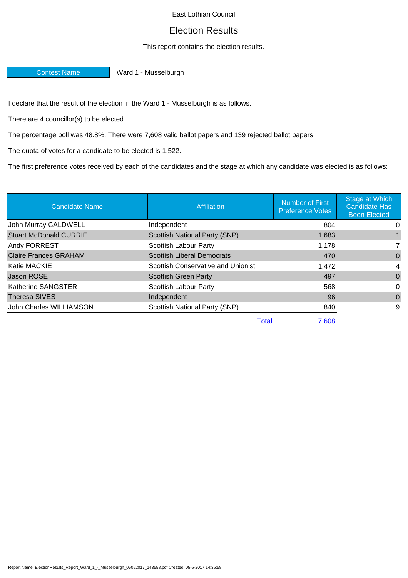East Lothian Council

## Election Results

## This report contains the election results.

Contest Name Ward 1 - Musselburgh

I declare that the result of the election in the Ward 1 - Musselburgh is as follows.

There are 4 councillor(s) to be elected.

The percentage poll was 48.8%. There were 7,608 valid ballot papers and 139 rejected ballot papers.

The quota of votes for a candidate to be elected is 1,522.

The first preference votes received by each of the candidates and the stage at which any candidate was elected is as follows:

| <b>Candidate Name</b>         | Affiliation                        | Number of First<br><b>Preference Votes</b> | Stage at Which<br><b>Candidate Has</b><br><b>Been Elected</b> |
|-------------------------------|------------------------------------|--------------------------------------------|---------------------------------------------------------------|
| John Murray CALDWELL          | Independent                        | 804                                        | 0                                                             |
| <b>Stuart McDonald CURRIE</b> | Scottish National Party (SNP)      | 1,683                                      |                                                               |
| Andy FORREST                  | Scottish Labour Party              | 1,178                                      |                                                               |
| <b>Claire Frances GRAHAM</b>  | <b>Scottish Liberal Democrats</b>  | 470                                        | $\Omega$                                                      |
| Katie MACKIE                  | Scottish Conservative and Unionist | 1,472                                      | 4                                                             |
| Jason ROSE                    | <b>Scottish Green Party</b>        | 497                                        | $\Omega$                                                      |
| Katherine SANGSTER            | Scottish Labour Party              | 568                                        | 0                                                             |
| Theresa SIVES                 | Independent                        | 96                                         | $\Omega$                                                      |
| John Charles WILLIAMSON       | Scottish National Party (SNP)      | 840                                        | 9                                                             |
|                               | <b>Total</b>                       | 7.608                                      |                                                               |